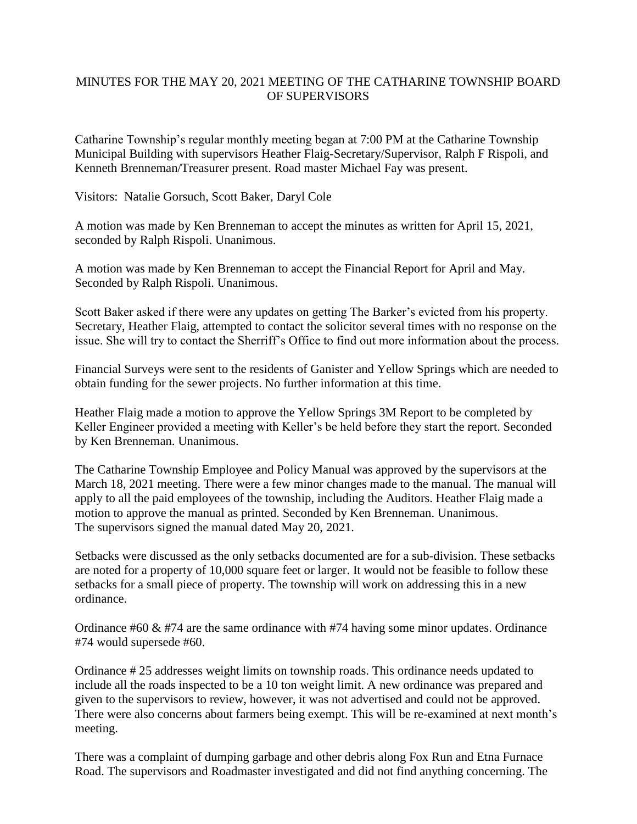## MINUTES FOR THE MAY 20, 2021 MEETING OF THE CATHARINE TOWNSHIP BOARD OF SUPERVISORS

Catharine Township's regular monthly meeting began at 7:00 PM at the Catharine Township Municipal Building with supervisors Heather Flaig-Secretary/Supervisor, Ralph F Rispoli, and Kenneth Brenneman/Treasurer present. Road master Michael Fay was present.

Visitors: Natalie Gorsuch, Scott Baker, Daryl Cole

A motion was made by Ken Brenneman to accept the minutes as written for April 15, 2021, seconded by Ralph Rispoli. Unanimous.

A motion was made by Ken Brenneman to accept the Financial Report for April and May. Seconded by Ralph Rispoli. Unanimous.

Scott Baker asked if there were any updates on getting The Barker's evicted from his property. Secretary, Heather Flaig, attempted to contact the solicitor several times with no response on the issue. She will try to contact the Sherriff's Office to find out more information about the process.

Financial Surveys were sent to the residents of Ganister and Yellow Springs which are needed to obtain funding for the sewer projects. No further information at this time.

Heather Flaig made a motion to approve the Yellow Springs 3M Report to be completed by Keller Engineer provided a meeting with Keller's be held before they start the report. Seconded by Ken Brenneman. Unanimous.

The Catharine Township Employee and Policy Manual was approved by the supervisors at the March 18, 2021 meeting. There were a few minor changes made to the manual. The manual will apply to all the paid employees of the township, including the Auditors. Heather Flaig made a motion to approve the manual as printed. Seconded by Ken Brenneman. Unanimous. The supervisors signed the manual dated May 20, 2021.

Setbacks were discussed as the only setbacks documented are for a sub-division. These setbacks are noted for a property of 10,000 square feet or larger. It would not be feasible to follow these setbacks for a small piece of property. The township will work on addressing this in a new ordinance.

Ordinance #60 & #74 are the same ordinance with #74 having some minor updates. Ordinance #74 would supersede #60.

Ordinance # 25 addresses weight limits on township roads. This ordinance needs updated to include all the roads inspected to be a 10 ton weight limit. A new ordinance was prepared and given to the supervisors to review, however, it was not advertised and could not be approved. There were also concerns about farmers being exempt. This will be re-examined at next month's meeting.

There was a complaint of dumping garbage and other debris along Fox Run and Etna Furnace Road. The supervisors and Roadmaster investigated and did not find anything concerning. The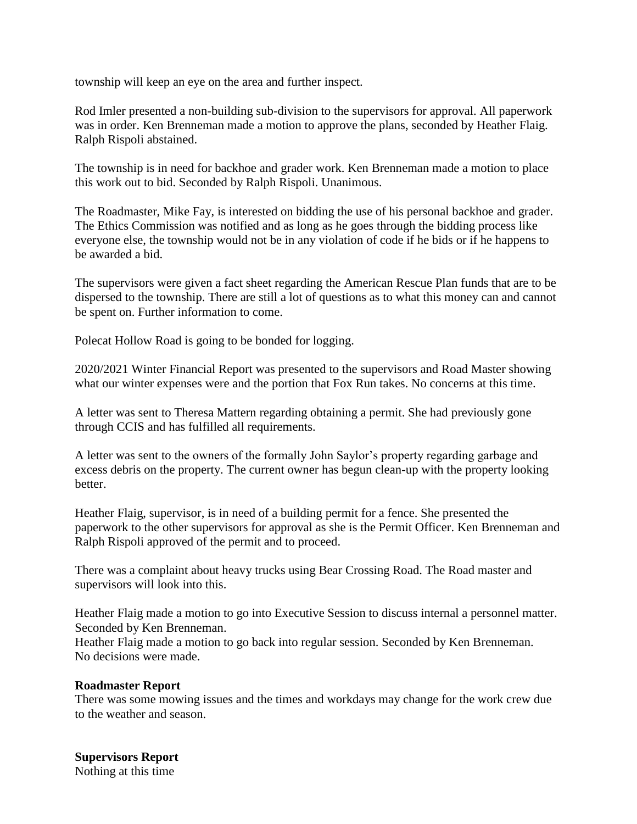township will keep an eye on the area and further inspect.

Rod Imler presented a non-building sub-division to the supervisors for approval. All paperwork was in order. Ken Brenneman made a motion to approve the plans, seconded by Heather Flaig. Ralph Rispoli abstained.

The township is in need for backhoe and grader work. Ken Brenneman made a motion to place this work out to bid. Seconded by Ralph Rispoli. Unanimous.

The Roadmaster, Mike Fay, is interested on bidding the use of his personal backhoe and grader. The Ethics Commission was notified and as long as he goes through the bidding process like everyone else, the township would not be in any violation of code if he bids or if he happens to be awarded a bid.

The supervisors were given a fact sheet regarding the American Rescue Plan funds that are to be dispersed to the township. There are still a lot of questions as to what this money can and cannot be spent on. Further information to come.

Polecat Hollow Road is going to be bonded for logging.

2020/2021 Winter Financial Report was presented to the supervisors and Road Master showing what our winter expenses were and the portion that Fox Run takes. No concerns at this time.

A letter was sent to Theresa Mattern regarding obtaining a permit. She had previously gone through CCIS and has fulfilled all requirements.

A letter was sent to the owners of the formally John Saylor's property regarding garbage and excess debris on the property. The current owner has begun clean-up with the property looking better.

Heather Flaig, supervisor, is in need of a building permit for a fence. She presented the paperwork to the other supervisors for approval as she is the Permit Officer. Ken Brenneman and Ralph Rispoli approved of the permit and to proceed.

There was a complaint about heavy trucks using Bear Crossing Road. The Road master and supervisors will look into this.

Heather Flaig made a motion to go into Executive Session to discuss internal a personnel matter. Seconded by Ken Brenneman.

Heather Flaig made a motion to go back into regular session. Seconded by Ken Brenneman. No decisions were made.

## **Roadmaster Report**

There was some mowing issues and the times and workdays may change for the work crew due to the weather and season.

## **Supervisors Report** Nothing at this time